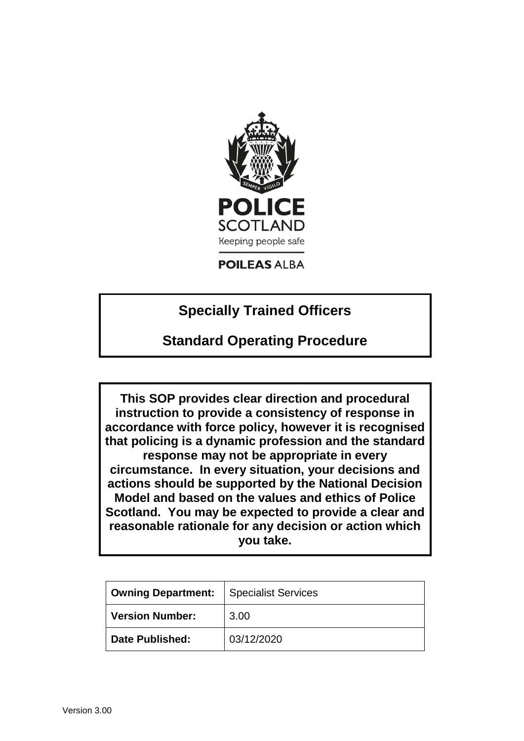

# **POILEAS ALBA**

# **Specially Trained Officers**

# **Standard Operating Procedure**

**This SOP provides clear direction and procedural instruction to provide a consistency of response in accordance with force policy, however it is recognised that policing is a dynamic profession and the standard response may not be appropriate in every circumstance. In every situation, your decisions and actions should be supported by the National Decision Model and based on the values and ethics of Police Scotland. You may be expected to provide a clear and reasonable rationale for any decision or action which you take.**

| <b>Owning Department:</b> | <b>Specialist Services</b> |
|---------------------------|----------------------------|
| <b>Version Number:</b>    | 3.00                       |
| <b>Date Published:</b>    | 03/12/2020                 |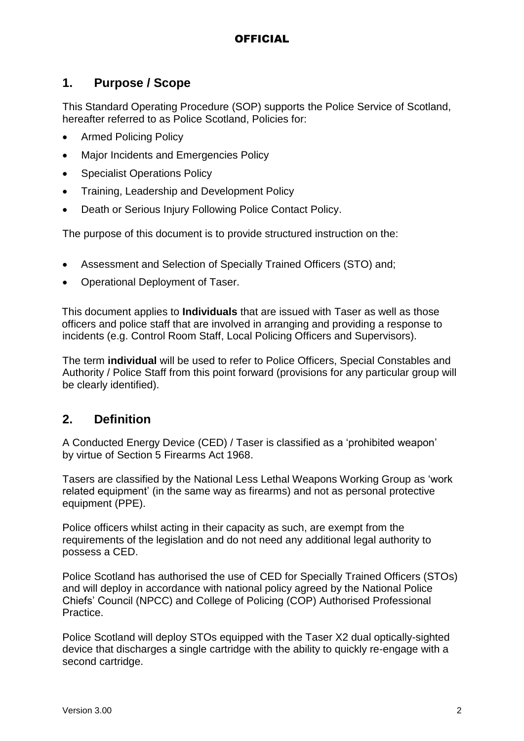## **1. Purpose / Scope**

This Standard Operating Procedure (SOP) supports the Police Service of Scotland, hereafter referred to as Police Scotland, Policies for:

- Armed Policing Policy
- Major Incidents and Emergencies Policy
- Specialist Operations Policy
- Training, Leadership and Development Policy
- Death or Serious Injury Following Police Contact Policy.

The purpose of this document is to provide structured instruction on the:

- Assessment and Selection of Specially Trained Officers (STO) and;
- Operational Deployment of Taser.

This document applies to **Individuals** that are issued with Taser as well as those officers and police staff that are involved in arranging and providing a response to incidents (e.g. Control Room Staff, Local Policing Officers and Supervisors).

The term **individual** will be used to refer to Police Officers, Special Constables and Authority / Police Staff from this point forward (provisions for any particular group will be clearly identified).

## **2. Definition**

A Conducted Energy Device (CED) / Taser is classified as a 'prohibited weapon' by virtue of Section 5 Firearms Act 1968.

Tasers are classified by the National Less Lethal Weapons Working Group as 'work related equipment' (in the same way as firearms) and not as personal protective equipment (PPE).

Police officers whilst acting in their capacity as such, are exempt from the requirements of the legislation and do not need any additional legal authority to possess a CED.

Police Scotland has authorised the use of CED for Specially Trained Officers (STOs) and will deploy in accordance with national policy agreed by the National Police Chiefs' Council (NPCC) and College of Policing (COP) Authorised Professional Practice.

Police Scotland will deploy STOs equipped with the Taser X2 dual optically-sighted device that discharges a single cartridge with the ability to quickly re-engage with a second cartridge.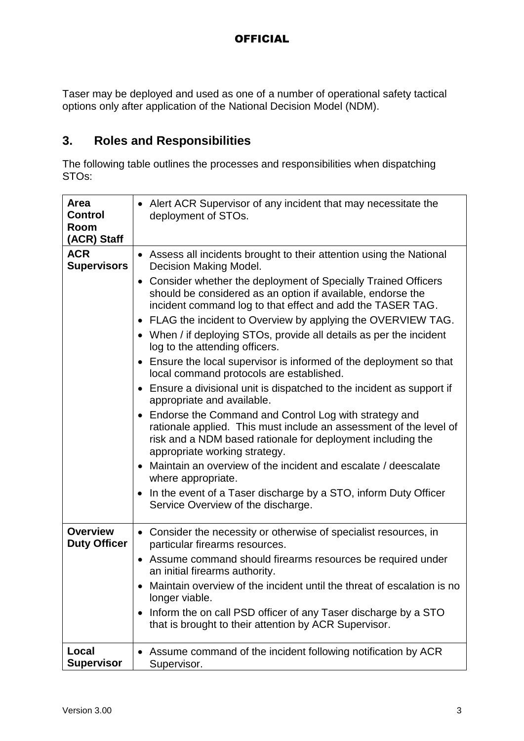Taser may be deployed and used as one of a number of operational safety tactical options only after application of the National Decision Model (NDM).

# **3. Roles and Responsibilities**

The following table outlines the processes and responsibilities when dispatching STOs:

| Area<br><b>Control</b><br>Room<br>(ACR) Staff | • Alert ACR Supervisor of any incident that may necessitate the<br>deployment of STOs.                                                                                                                                                                                                                                                                                                                                                                                                                                                                                                                                                                                                                                                                                                                                                                                                                                                                                                                                                                                                                                                                                                                               |
|-----------------------------------------------|----------------------------------------------------------------------------------------------------------------------------------------------------------------------------------------------------------------------------------------------------------------------------------------------------------------------------------------------------------------------------------------------------------------------------------------------------------------------------------------------------------------------------------------------------------------------------------------------------------------------------------------------------------------------------------------------------------------------------------------------------------------------------------------------------------------------------------------------------------------------------------------------------------------------------------------------------------------------------------------------------------------------------------------------------------------------------------------------------------------------------------------------------------------------------------------------------------------------|
| <b>ACR</b><br><b>Supervisors</b>              | Assess all incidents brought to their attention using the National<br>Decision Making Model.<br>Consider whether the deployment of Specially Trained Officers<br>$\bullet$<br>should be considered as an option if available, endorse the<br>incident command log to that effect and add the TASER TAG.<br>FLAG the incident to Overview by applying the OVERVIEW TAG.<br>$\bullet$<br>• When / if deploying STOs, provide all details as per the incident<br>log to the attending officers.<br>Ensure the local supervisor is informed of the deployment so that<br>$\bullet$<br>local command protocols are established.<br>Ensure a divisional unit is dispatched to the incident as support if<br>$\bullet$<br>appropriate and available.<br>Endorse the Command and Control Log with strategy and<br>$\bullet$<br>rationale applied. This must include an assessment of the level of<br>risk and a NDM based rationale for deployment including the<br>appropriate working strategy.<br>Maintain an overview of the incident and escalate / deescalate<br>$\bullet$<br>where appropriate.<br>In the event of a Taser discharge by a STO, inform Duty Officer<br>$\bullet$<br>Service Overview of the discharge. |
| <b>Overview</b><br><b>Duty Officer</b>        | • Consider the necessity or otherwise of specialist resources, in<br>particular firearms resources.<br>Assume command should firearms resources be required under<br>$\bullet$<br>an initial firearms authority.<br>Maintain overview of the incident until the threat of escalation is no<br>longer viable.<br>Inform the on call PSD officer of any Taser discharge by a STO<br>٠<br>that is brought to their attention by ACR Supervisor.                                                                                                                                                                                                                                                                                                                                                                                                                                                                                                                                                                                                                                                                                                                                                                         |
| Local<br><b>Supervisor</b>                    | Assume command of the incident following notification by ACR<br>Supervisor.                                                                                                                                                                                                                                                                                                                                                                                                                                                                                                                                                                                                                                                                                                                                                                                                                                                                                                                                                                                                                                                                                                                                          |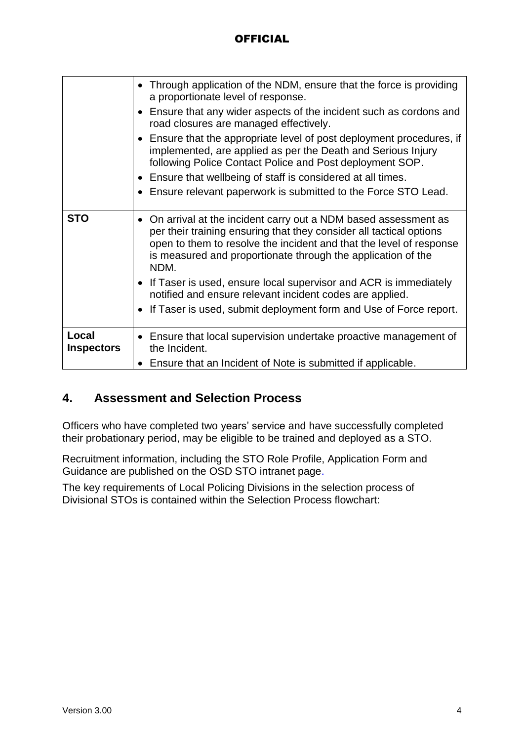|                            | • Through application of the NDM, ensure that the force is providing<br>a proportionate level of response.                                                                                                                                                                             |
|----------------------------|----------------------------------------------------------------------------------------------------------------------------------------------------------------------------------------------------------------------------------------------------------------------------------------|
|                            | Ensure that any wider aspects of the incident such as cordons and<br>road closures are managed effectively.                                                                                                                                                                            |
|                            | • Ensure that the appropriate level of post deployment procedures, if<br>implemented, are applied as per the Death and Serious Injury<br>following Police Contact Police and Post deployment SOP.                                                                                      |
|                            | • Ensure that wellbeing of staff is considered at all times.                                                                                                                                                                                                                           |
|                            | • Ensure relevant paperwork is submitted to the Force STO Lead.                                                                                                                                                                                                                        |
| <b>STO</b>                 | • On arrival at the incident carry out a NDM based assessment as<br>per their training ensuring that they consider all tactical options<br>open to them to resolve the incident and that the level of response<br>is measured and proportionate through the application of the<br>NDM. |
|                            | • If Taser is used, ensure local supervisor and ACR is immediately<br>notified and ensure relevant incident codes are applied.                                                                                                                                                         |
|                            | If Taser is used, submit deployment form and Use of Force report.                                                                                                                                                                                                                      |
| Local<br><b>Inspectors</b> | Ensure that local supervision undertake proactive management of<br>the Incident.                                                                                                                                                                                                       |
|                            | Ensure that an Incident of Note is submitted if applicable.                                                                                                                                                                                                                            |

# **4. Assessment and Selection Process**

Officers who have completed two years' service and have successfully completed their probationary period, may be eligible to be trained and deployed as a STO.

Recruitment information, including the STO Role Profile, Application Form and Guidance are published on the OSD STO intranet page.

The key requirements of Local Policing Divisions in the selection process of Divisional STOs is contained within the Selection Process flowchart: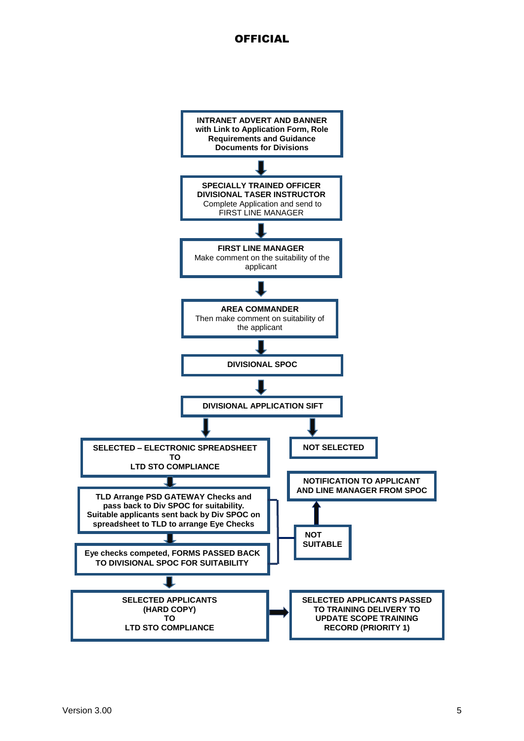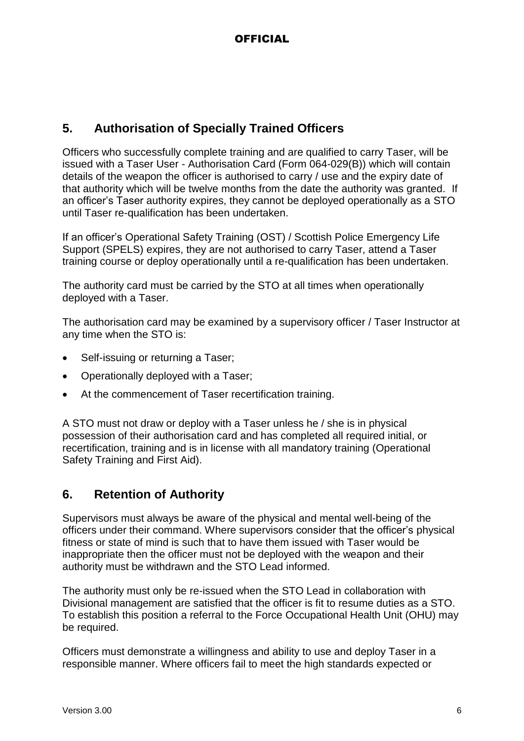# **5. Authorisation of Specially Trained Officers**

Officers who successfully complete training and are qualified to carry Taser, will be issued with a Taser User - Authorisation Card (Form 064-029(B)) which will contain details of the weapon the officer is authorised to carry / use and the expiry date of that authority which will be twelve months from the date the authority was granted. If an officer's Taser authority expires, they cannot be deployed operationally as a STO until Taser re-qualification has been undertaken.

If an officer's Operational Safety Training (OST) / Scottish Police Emergency Life Support (SPELS) expires, they are not authorised to carry Taser, attend a Taser training course or deploy operationally until a re-qualification has been undertaken.

The authority card must be carried by the STO at all times when operationally deployed with a Taser.

The authorisation card may be examined by a supervisory officer / Taser Instructor at any time when the STO is:

- Self-issuing or returning a Taser;
- Operationally deployed with a Taser;
- At the commencement of Taser recertification training.

A STO must not draw or deploy with a Taser unless he / she is in physical possession of their authorisation card and has completed all required initial, or recertification, training and is in license with all mandatory training (Operational Safety Training and First Aid).

# **6. Retention of Authority**

Supervisors must always be aware of the physical and mental well-being of the officers under their command. Where supervisors consider that the officer's physical fitness or state of mind is such that to have them issued with Taser would be inappropriate then the officer must not be deployed with the weapon and their authority must be withdrawn and the STO Lead informed.

The authority must only be re-issued when the STO Lead in collaboration with Divisional management are satisfied that the officer is fit to resume duties as a STO. To establish this position a referral to the Force Occupational Health Unit (OHU) may be required.

Officers must demonstrate a willingness and ability to use and deploy Taser in a responsible manner. Where officers fail to meet the high standards expected or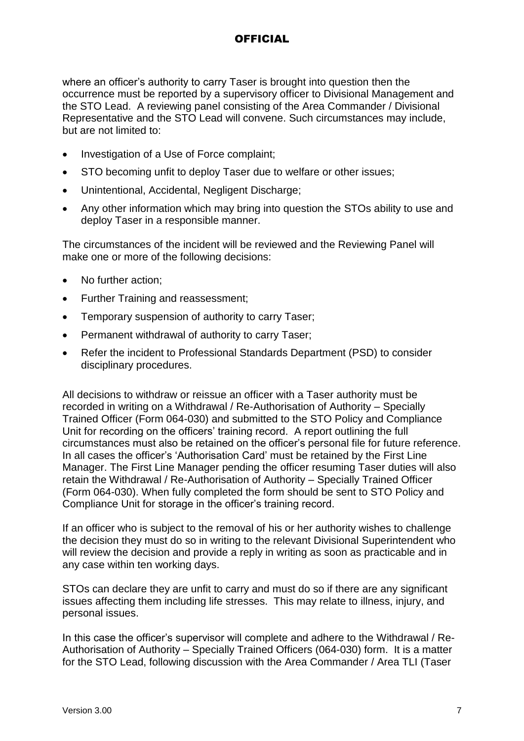where an officer's authority to carry Taser is brought into question then the occurrence must be reported by a supervisory officer to Divisional Management and the STO Lead. A reviewing panel consisting of the Area Commander / Divisional Representative and the STO Lead will convene. Such circumstances may include, but are not limited to:

- Investigation of a Use of Force complaint;
- STO becoming unfit to deploy Taser due to welfare or other issues;
- Unintentional, Accidental, Negligent Discharge;
- Any other information which may bring into question the STOs ability to use and deploy Taser in a responsible manner.

The circumstances of the incident will be reviewed and the Reviewing Panel will make one or more of the following decisions:

- No further action:
- Further Training and reassessment;
- Temporary suspension of authority to carry Taser;
- Permanent withdrawal of authority to carry Taser;
- Refer the incident to Professional Standards Department (PSD) to consider disciplinary procedures.

All decisions to withdraw or reissue an officer with a Taser authority must be recorded in writing on a Withdrawal / Re-Authorisation of Authority – Specially Trained Officer (Form 064-030) and submitted to the STO Policy and Compliance Unit for recording on the officers' training record. A report outlining the full circumstances must also be retained on the officer's personal file for future reference. In all cases the officer's 'Authorisation Card' must be retained by the First Line Manager. The First Line Manager pending the officer resuming Taser duties will also retain the Withdrawal / Re-Authorisation of Authority – Specially Trained Officer (Form 064-030). When fully completed the form should be sent to STO Policy and Compliance Unit for storage in the officer's training record.

If an officer who is subject to the removal of his or her authority wishes to challenge the decision they must do so in writing to the relevant Divisional Superintendent who will review the decision and provide a reply in writing as soon as practicable and in any case within ten working days.

STOs can declare they are unfit to carry and must do so if there are any significant issues affecting them including life stresses. This may relate to illness, injury, and personal issues.

In this case the officer's supervisor will complete and adhere to the Withdrawal / Re-Authorisation of Authority – Specially Trained Officers (064-030) form. It is a matter for the STO Lead, following discussion with the Area Commander / Area TLI (Taser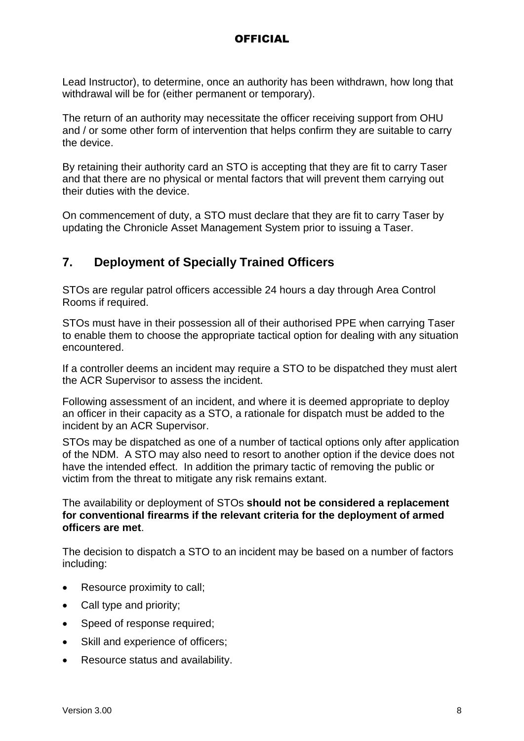Lead Instructor), to determine, once an authority has been withdrawn, how long that withdrawal will be for (either permanent or temporary).

The return of an authority may necessitate the officer receiving support from OHU and / or some other form of intervention that helps confirm they are suitable to carry the device.

By retaining their authority card an STO is accepting that they are fit to carry Taser and that there are no physical or mental factors that will prevent them carrying out their duties with the device.

On commencement of duty, a STO must declare that they are fit to carry Taser by updating the Chronicle Asset Management System prior to issuing a Taser.

# **7. Deployment of Specially Trained Officers**

STOs are regular patrol officers accessible 24 hours a day through Area Control Rooms if required.

STOs must have in their possession all of their authorised PPE when carrying Taser to enable them to choose the appropriate tactical option for dealing with any situation encountered.

If a controller deems an incident may require a STO to be dispatched they must alert the ACR Supervisor to assess the incident.

Following assessment of an incident, and where it is deemed appropriate to deploy an officer in their capacity as a STO, a rationale for dispatch must be added to the incident by an ACR Supervisor.

STOs may be dispatched as one of a number of tactical options only after application of the NDM. A STO may also need to resort to another option if the device does not have the intended effect. In addition the primary tactic of removing the public or victim from the threat to mitigate any risk remains extant.

The availability or deployment of STOs **should not be considered a replacement for conventional firearms if the relevant criteria for the deployment of armed officers are met**.

The decision to dispatch a STO to an incident may be based on a number of factors including:

- Resource proximity to call;
- Call type and priority;
- Speed of response required;
- Skill and experience of officers;
- Resource status and availability.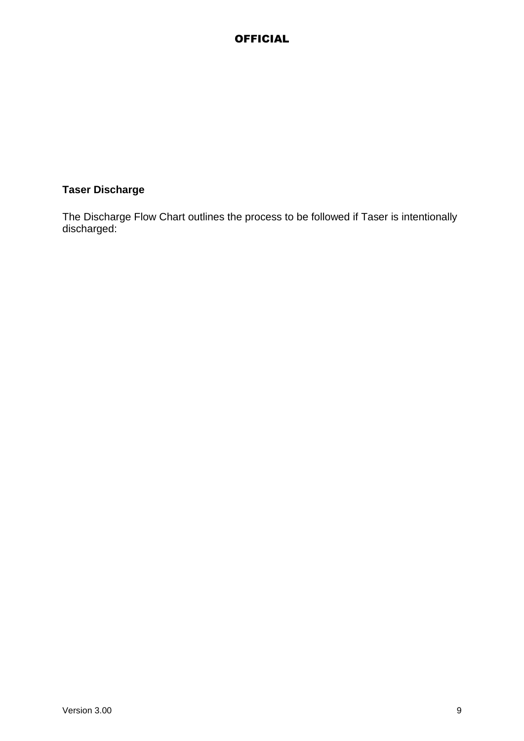# **Taser Discharge**

The [Discharge Flow Chart](https://spi.spnet.local/policescotland/SpecialistDivisions/osd/specialist-services/Documents/Discharge%20Flow%20Chart.pdf) outlines the process to be followed if Taser is intentionally discharged: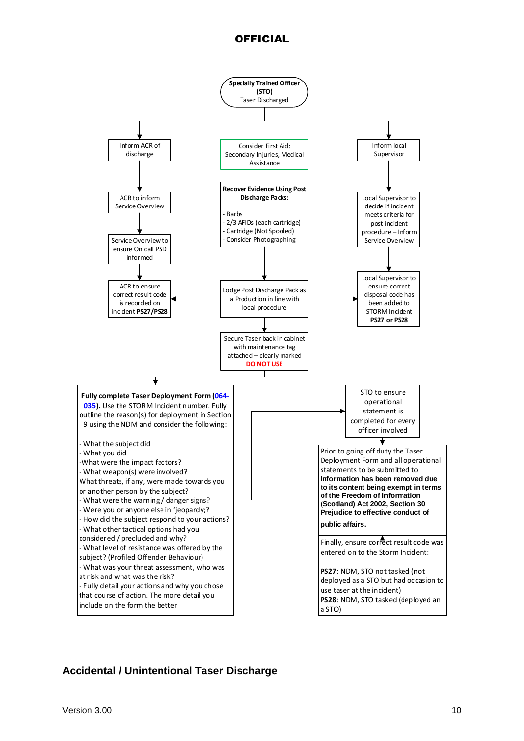

#### **Accidental / Unintentional Taser Discharge**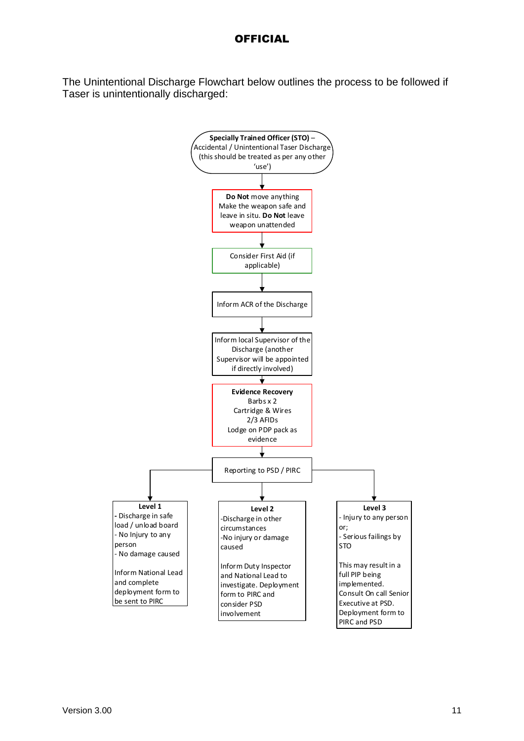The Unintentional Discharge Flowchart below outlines the process to be followed if Taser is unintentionally discharged:

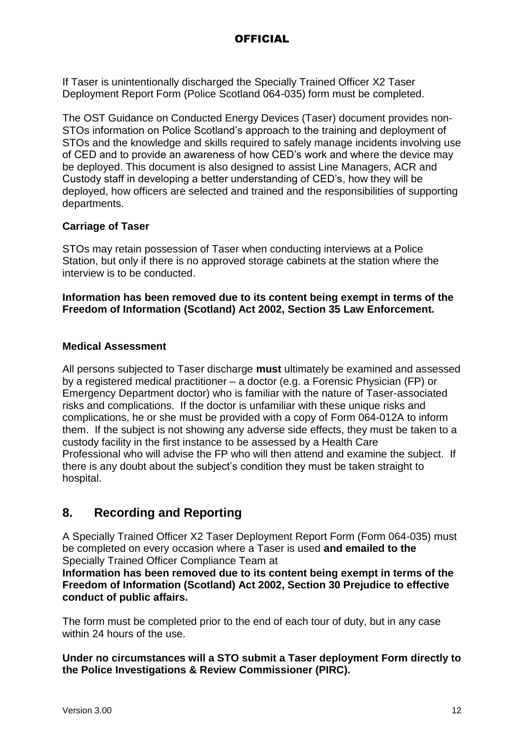If Taser is unintentionally discharged the Specially Trained Officer X2 Taser Deployment Report Form (Police Scotland 064-035) form must be completed.

The OST Guidance on Conducted Energy Devices (Taser) document provides non-STOs information on Police Scotland's approach to the training and deployment of STOs and the knowledge and skills required to safely manage incidents involving use of CED and to provide an awareness of how CED's work and where the device may be deployed. This document is also designed to assist Line Managers, ACR and Custody staff in developing a better understanding of CED's, how they will be deployed, how officers are selected and trained and the responsibilities of supporting departments.

#### **Carriage of Taser**

STOs may retain possession of Taser when conducting interviews at a Police Station, but only if there is no approved storage cabinets at the station where the interview is to be conducted.

**Information has been removed due to its content being exempt in terms of the Freedom of Information (Scotland) Act 2002, Section 35 Law Enforcement.**

#### **Medical Assessment**

All persons subjected to Taser discharge **must** ultimately be examined and assessed by a registered medical practitioner – a doctor (e.g. a Forensic Physician (FP) or Emergency Department doctor) who is familiar with the nature of Taser-associated risks and complications. If the doctor is unfamiliar with these unique risks and complications, he or she must be provided with a copy of Form 064-012A to inform them. If the subject is not showing any adverse side effects, they must be taken to a custody facility in the first instance to be assessed by a Health Care Professional who will advise the FP who will then attend and examine the subject. If there is any doubt about the subject's condition they must be taken straight to hospital.

# **8. Recording and Reporting**

A Specially Trained Officer X2 Taser Deployment Report Form (Form 064-035) must be completed on every occasion where a Taser is used **and emailed to the**  Specially Trained Officer Compliance Team at

**Information has been removed due to its content being exempt in terms of the Freedom of Information (Scotland) Act 2002, Section 30 Prejudice to effective conduct of public affairs.**

The form must be completed prior to the end of each tour of duty, but in any case within 24 hours of the use.

**Under no circumstances will a STO submit a Taser deployment Form directly to the Police Investigations & Review Commissioner (PIRC).**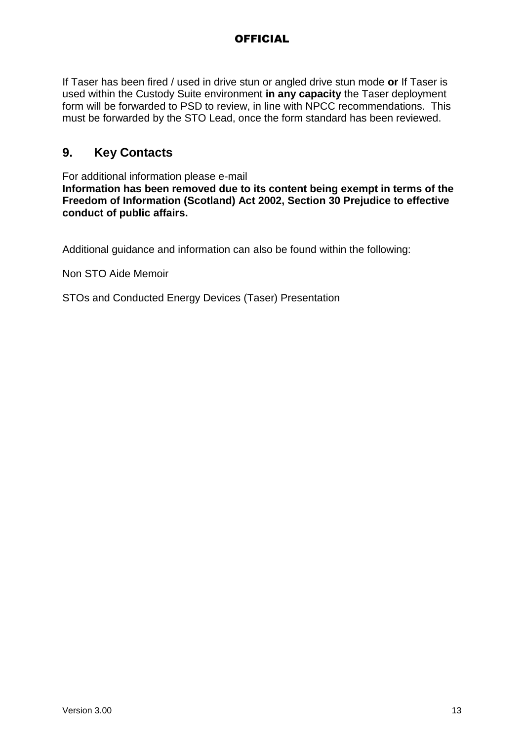If Taser has been fired / used in drive stun or angled drive stun mode **or** If Taser is used within the Custody Suite environment **in any capacity** the Taser deployment form will be forwarded to PSD to review, in line with NPCC recommendations. This must be forwarded by the STO Lead, once the form standard has been reviewed.

## **9. Key Contacts**

For additional information please e-mail **Information has been removed due to its content being exempt in terms of the Freedom of Information (Scotland) Act 2002, Section 30 Prejudice to effective conduct of public affairs.**

Additional guidance and information can also be found within the following:

Non STO Aide Memoir

STOs and Conducted Energy Devices (Taser) Presentation